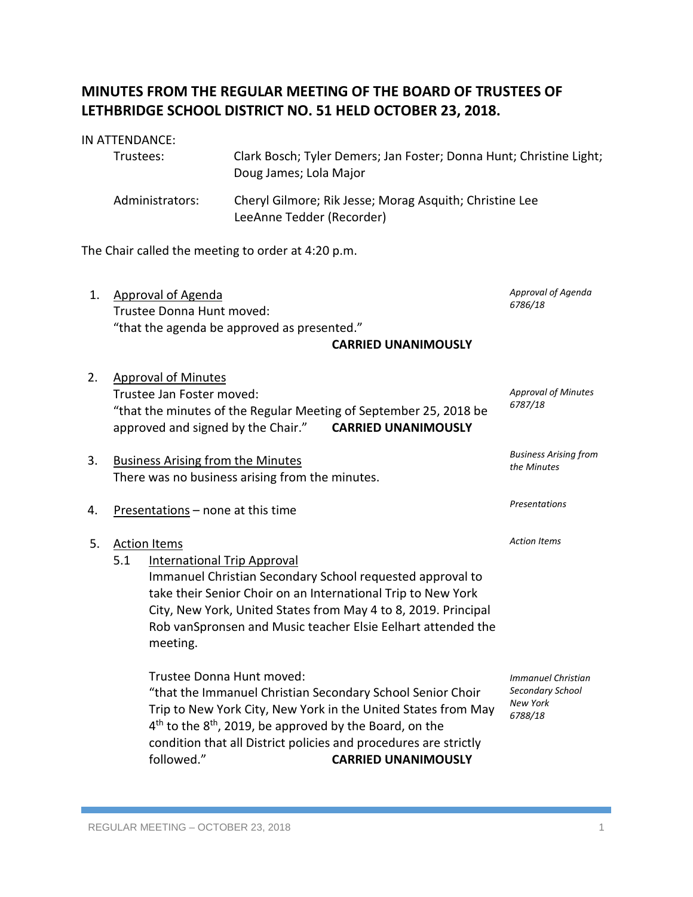## **MINUTES FROM THE REGULAR MEETING OF THE BOARD OF TRUSTEES OF LETHBRIDGE SCHOOL DISTRICT NO. 51 HELD OCTOBER 23, 2018.**

## IN ATTENDANCE:

| Trustees:       | Clark Bosch; Tyler Demers; Jan Foster; Donna Hunt; Christine Light;<br>Doug James; Lola Major |
|-----------------|-----------------------------------------------------------------------------------------------|
| Administrators: | Cheryl Gilmore; Rik Jesse; Morag Asquith; Christine Lee<br>LeeAnne Tedder (Recorder)          |

The Chair called the meeting to order at 4:20 p.m.

- 1. Approval of Agenda Trustee Donna Hunt moved: "that the agenda be approved as presented." **CARRIED UNANIMOUSLY** *Approval of Agenda 6786/18*
- 2. Approval of Minutes Trustee Jan Foster moved: "that the minutes of the Regular Meeting of September 25, 2018 be approved and signed by the Chair." **CARRIED UNANIMOUSLY** *Approval of Minutes 6787/18*
- 3. Business Arising from the Minutes There was no business arising from the minutes.
- 4. Presentations none at this time
- 5. Action Items
	- 5.1 International Trip Approval

Immanuel Christian Secondary School requested approval to take their Senior Choir on an International Trip to New York City, New York, United States from May 4 to 8, 2019. Principal Rob vanSpronsen and Music teacher Elsie Eelhart attended the meeting.

Trustee Donna Hunt moved: "that the Immanuel Christian Secondary School Senior Choir Trip to New York City, New York in the United States from May  $4<sup>th</sup>$  to the  $8<sup>th</sup>$ , 2019, be approved by the Board, on the condition that all District policies and procedures are strictly followed." **CARRIED UNANIMOUSLY**

*Immanuel Christian Secondary School New York 6788/18*

*Business Arising from* 

*the Minutes*

*Presentations*

*Action Items*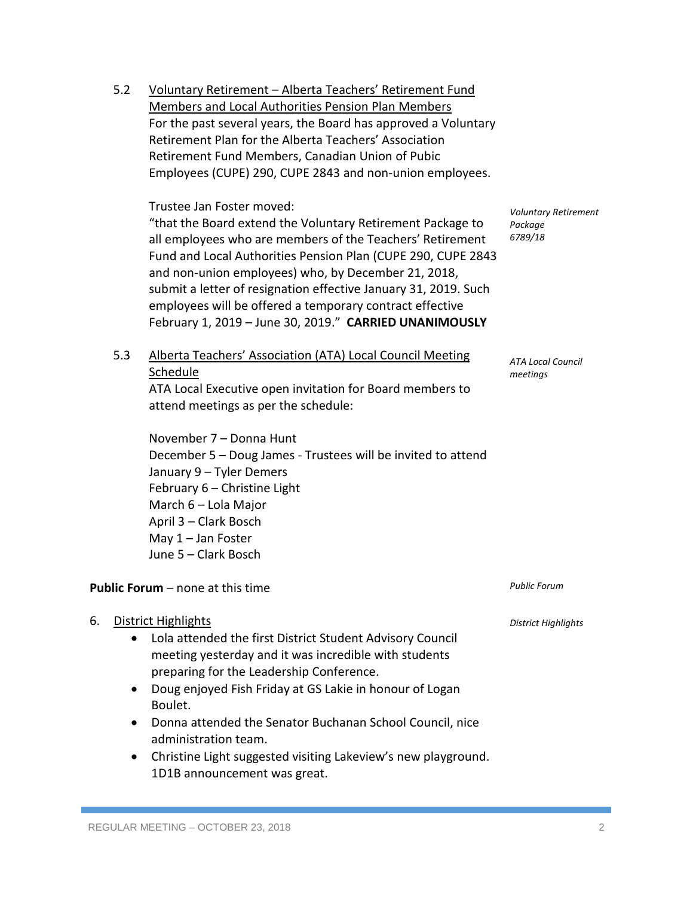Retirement Fund Members, Canadian Union of Pubic Employees (CUPE) 290, CUPE 2843 and non-union employees. Trustee Jan Foster moved: "that the Board extend the Voluntary Retirement Package to all employees who are members of the Teachers' Retirement Fund and Local Authorities Pension Plan (CUPE 290, CUPE 2843 and non-union employees) who, by December 21, 2018, submit a letter of resignation effective January 31, 2019. Such employees will be offered a temporary contract effective February 1, 2019 – June 30, 2019." **CARRIED UNANIMOUSLY** 5.3 Alberta Teachers' Association (ATA) Local Council Meeting Schedule ATA Local Executive open invitation for Board members to attend meetings as per the schedule: November 7 – Donna Hunt December 5 – Doug James - Trustees will be invited to attend January 9 – Tyler Demers February 6 – Christine Light March 6 – Lola Major April 3 – Clark Bosch May 1 – Jan Foster June 5 – Clark Bosch **Public Forum** – none at this time 6. District Highlights • Lola attended the first District Student Advisory Council meeting yesterday and it was incredible with students preparing for the Leadership Conference. *Voluntary Retirement Package 6789/18 ATA Local Council meetings Public Forum District Highlights*

5.2 Voluntary Retirement – Alberta Teachers' Retirement Fund Members and Local Authorities Pension Plan Members

Retirement Plan for the Alberta Teachers' Association

For the past several years, the Board has approved a Voluntary

- Doug enjoyed Fish Friday at GS Lakie in honour of Logan Boulet.
- Donna attended the Senator Buchanan School Council, nice administration team.
- Christine Light suggested visiting Lakeview's new playground. 1D1B announcement was great.

REGULAR MEETING – OCTOBER 23, 2018 2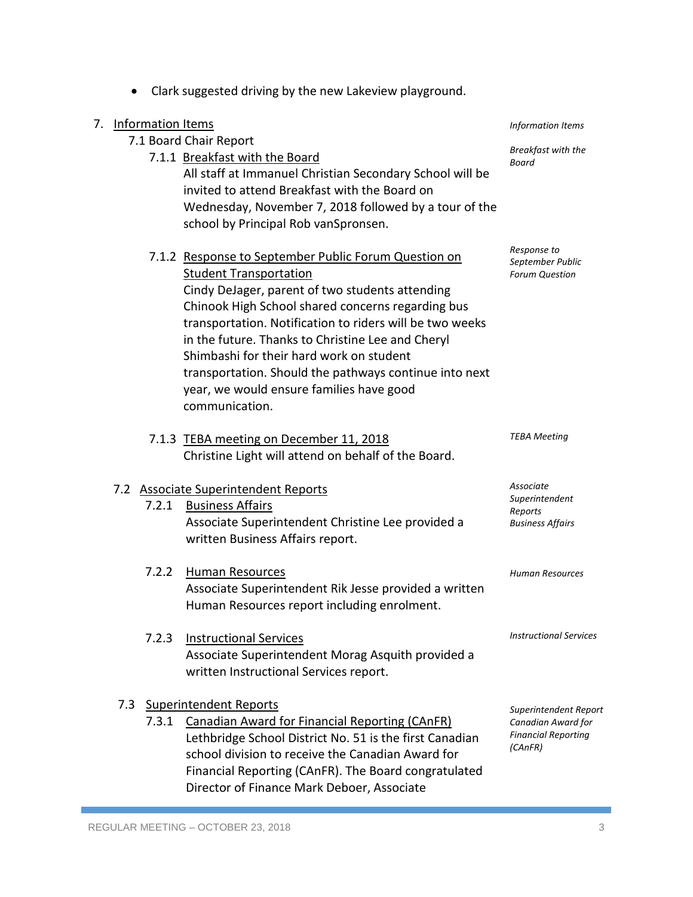|              | 7.1.1 Breakfast with the Board<br>All staff at Immanuel Christian Secondary School will be<br>invited to attend Breakfast with the Board on                                                                                                                                                                                                                                                                                                                                        | вreaктаst with the<br>Board                                                          |
|--------------|------------------------------------------------------------------------------------------------------------------------------------------------------------------------------------------------------------------------------------------------------------------------------------------------------------------------------------------------------------------------------------------------------------------------------------------------------------------------------------|--------------------------------------------------------------------------------------|
|              | Wednesday, November 7, 2018 followed by a tour of the<br>school by Principal Rob vanSpronsen.                                                                                                                                                                                                                                                                                                                                                                                      |                                                                                      |
|              | 7.1.2 Response to September Public Forum Question on<br><b>Student Transportation</b><br>Cindy DeJager, parent of two students attending<br>Chinook High School shared concerns regarding bus<br>transportation. Notification to riders will be two weeks<br>in the future. Thanks to Christine Lee and Cheryl<br>Shimbashi for their hard work on student<br>transportation. Should the pathways continue into next<br>year, we would ensure families have good<br>communication. | Response to<br>September Public<br><b>Forum Question</b>                             |
|              | 7.1.3 TEBA meeting on December 11, 2018<br>Christine Light will attend on behalf of the Board.                                                                                                                                                                                                                                                                                                                                                                                     | <b>TEBA Meeting</b>                                                                  |
|              | 7.2 Associate Superintendent Reports                                                                                                                                                                                                                                                                                                                                                                                                                                               | Associate                                                                            |
| 7.2.1        | <b>Business Affairs</b><br>Associate Superintendent Christine Lee provided a<br>written Business Affairs report.                                                                                                                                                                                                                                                                                                                                                                   | Superintendent<br>Reports<br><b>Business Affairs</b>                                 |
| 7.2.2        | <b>Human Resources</b><br>Associate Superintendent Rik Jesse provided a written<br>Human Resources report including enrolment.                                                                                                                                                                                                                                                                                                                                                     | Human Resources                                                                      |
| 7.2.3        | <b>Instructional Services</b><br>Associate Superintendent Morag Asquith provided a<br>written Instructional Services report.                                                                                                                                                                                                                                                                                                                                                       | <b>Instructional Services</b>                                                        |
| 7.3<br>7.3.1 | <b>Superintendent Reports</b><br>Canadian Award for Financial Reporting (CAnFR)<br>Lethbridge School District No. 51 is the first Canadian<br>school division to receive the Canadian Award for<br>Financial Reporting (CAnFR). The Board congratulated<br>Director of Finance Mark Deboer, Associate                                                                                                                                                                              | Superintendent Report<br>Canadian Award for<br><b>Financial Reporting</b><br>(CAnFR) |
|              | REGULAR MEETING - OCTOBER 23, 2018                                                                                                                                                                                                                                                                                                                                                                                                                                                 | 3                                                                                    |
|              |                                                                                                                                                                                                                                                                                                                                                                                                                                                                                    |                                                                                      |
|              |                                                                                                                                                                                                                                                                                                                                                                                                                                                                                    |                                                                                      |

• Clark suggested driving by the new Lakeview playground.

7. Information Items

7.1 Board Chair Report

*Information Items*

*Breakfast with the*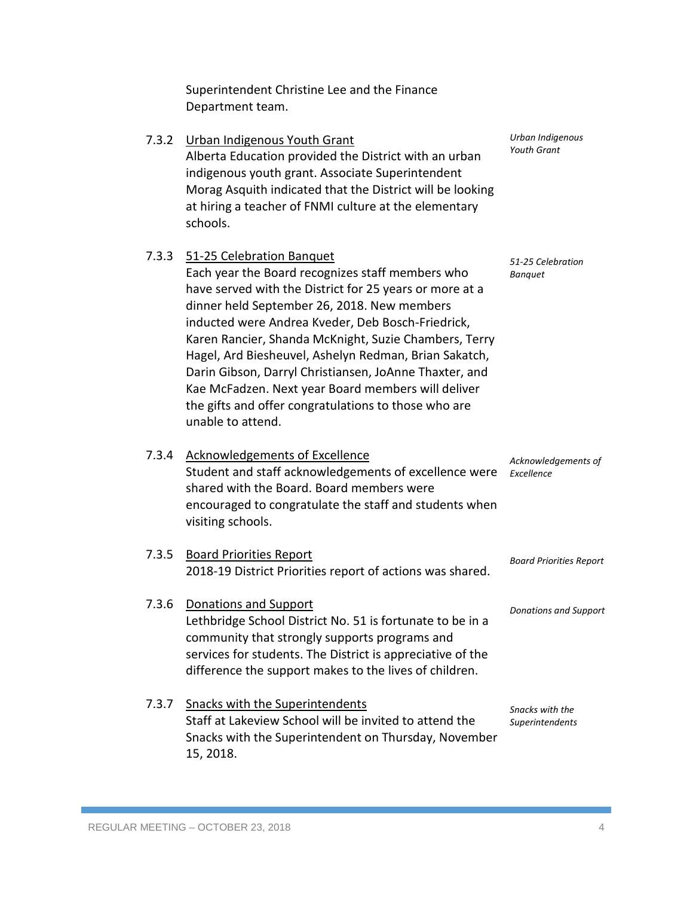Superintendent Christine Lee and the Finance Department team.

| 7.3.2 | Urban Indigenous Youth Grant<br>Alberta Education provided the District with an urban<br>indigenous youth grant. Associate Superintendent<br>Morag Asquith indicated that the District will be looking<br>at hiring a teacher of FNMI culture at the elementary<br>schools.                                                                                                                                                                                                                                                                                 | Urban Indigenous<br><b>Youth Grant</b> |
|-------|-------------------------------------------------------------------------------------------------------------------------------------------------------------------------------------------------------------------------------------------------------------------------------------------------------------------------------------------------------------------------------------------------------------------------------------------------------------------------------------------------------------------------------------------------------------|----------------------------------------|
| 7.3.3 | 51-25 Celebration Banquet<br>Each year the Board recognizes staff members who<br>have served with the District for 25 years or more at a<br>dinner held September 26, 2018. New members<br>inducted were Andrea Kveder, Deb Bosch-Friedrick,<br>Karen Rancier, Shanda McKnight, Suzie Chambers, Terry<br>Hagel, Ard Biesheuvel, Ashelyn Redman, Brian Sakatch,<br>Darin Gibson, Darryl Christiansen, JoAnne Thaxter, and<br>Kae McFadzen. Next year Board members will deliver<br>the gifts and offer congratulations to those who are<br>unable to attend. | 51-25 Celebration<br><b>Banquet</b>    |
|       | 7.3.4 Acknowledgements of Excellence<br>Student and staff acknowledgements of excellence were<br>shared with the Board. Board members were<br>encouraged to congratulate the staff and students when<br>visiting schools.                                                                                                                                                                                                                                                                                                                                   | Acknowledgements of<br>Excellence      |
| 7.3.5 | <b>Board Priorities Report</b><br>2018-19 District Priorities report of actions was shared.                                                                                                                                                                                                                                                                                                                                                                                                                                                                 | <b>Board Priorities Report</b>         |
| 7.3.6 | Donations and Support<br>Lethbridge School District No. 51 is fortunate to be in a<br>community that strongly supports programs and<br>services for students. The District is appreciative of the<br>difference the support makes to the lives of children.                                                                                                                                                                                                                                                                                                 | <b>Donations and Support</b>           |
| 7.3.7 | Snacks with the Superintendents<br>Staff at Lakeview School will be invited to attend the<br>Snacks with the Superintendent on Thursday, November<br>15, 2018.                                                                                                                                                                                                                                                                                                                                                                                              | Snacks with the<br>Superintendents     |